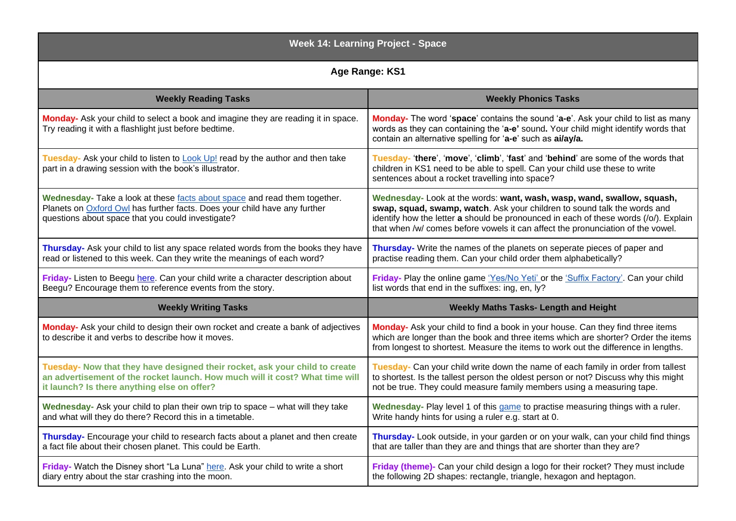| <b>Week 14: Learning Project - Space</b>                                                                                                                                                                    |                                                                                                                                                                                                                                                                                                                               |
|-------------------------------------------------------------------------------------------------------------------------------------------------------------------------------------------------------------|-------------------------------------------------------------------------------------------------------------------------------------------------------------------------------------------------------------------------------------------------------------------------------------------------------------------------------|
| Age Range: KS1                                                                                                                                                                                              |                                                                                                                                                                                                                                                                                                                               |
| <b>Weekly Reading Tasks</b>                                                                                                                                                                                 | <b>Weekly Phonics Tasks</b>                                                                                                                                                                                                                                                                                                   |
| Monday- Ask your child to select a book and imagine they are reading it in space.<br>Try reading it with a flashlight just before bedtime.                                                                  | Monday- The word 'space' contains the sound 'a-e'. Ask your child to list as many<br>words as they can containing the 'a-e' sound. Your child might identify words that<br>contain an alternative spelling for 'a-e' such as ai/ay/a.                                                                                         |
| Tuesday- Ask your child to listen to <b>Look Up!</b> read by the author and then take<br>part in a drawing session with the book's illustrator.                                                             | Tuesday- 'there', 'move', 'climb', 'fast' and 'behind' are some of the words that<br>children in KS1 need to be able to spell. Can your child use these to write<br>sentences about a rocket travelling into space?                                                                                                           |
| Wednesday- Take a look at these facts about space and read them together.<br>Planets on Oxford Owl has further facts. Does your child have any further<br>questions about space that you could investigate? | Wednesday- Look at the words: want, wash, wasp, wand, swallow, squash,<br>swap, squad, swamp, watch. Ask your children to sound talk the words and<br>identify how the letter a should be pronounced in each of these words (/o/). Explain<br>that when /w/ comes before vowels it can affect the pronunciation of the vowel. |
| Thursday- Ask your child to list any space related words from the books they have<br>read or listened to this week. Can they write the meanings of each word?                                               | Thursday- Write the names of the planets on seperate pieces of paper and<br>practise reading them. Can your child order them alphabetically?                                                                                                                                                                                  |
| Friday- Listen to Beegu here. Can your child write a character description about<br>Beegu? Encourage them to reference events from the story.                                                               | Friday- Play the online game 'Yes/No Yeti' or the 'Suffix Factory'. Can your child<br>list words that end in the suffixes: ing, en, ly?                                                                                                                                                                                       |
| <b>Weekly Writing Tasks</b>                                                                                                                                                                                 | <b>Weekly Maths Tasks- Length and Height</b>                                                                                                                                                                                                                                                                                  |
| Monday- Ask your child to design their own rocket and create a bank of adjectives<br>to describe it and verbs to describe how it moves.                                                                     | Monday- Ask your child to find a book in your house. Can they find three items<br>which are longer than the book and three items which are shorter? Order the items<br>from longest to shortest. Measure the items to work out the difference in lengths.                                                                     |
| Tuesday- Now that they have designed their rocket, ask your child to create<br>an advertisement of the rocket launch. How much will it cost? What time will<br>it launch? Is there anything else on offer?  | Tuesday- Can your child write down the name of each family in order from tallest<br>to shortest. Is the tallest person the oldest person or not? Discuss why this might<br>not be true. They could measure family members using a measuring tape.                                                                             |
| Wednesday- Ask your child to plan their own trip to space - what will they take<br>and what will they do there? Record this in a timetable.                                                                 | Wednesday- Play level 1 of this game to practise measuring things with a ruler.<br>Write handy hints for using a ruler e.g. start at 0.                                                                                                                                                                                       |
| Thursday- Encourage your child to research facts about a planet and then create<br>a fact file about their chosen planet. This could be Earth.                                                              | Thursday- Look outside, in your garden or on your walk, can your child find things<br>that are taller than they are and things that are shorter than they are?                                                                                                                                                                |
| Friday- Watch the Disney short "La Luna" here. Ask your child to write a short<br>diary entry about the star crashing into the moon.                                                                        | Friday (theme)- Can your child design a logo for their rocket? They must include<br>the following 2D shapes: rectangle, triangle, hexagon and heptagon.                                                                                                                                                                       |